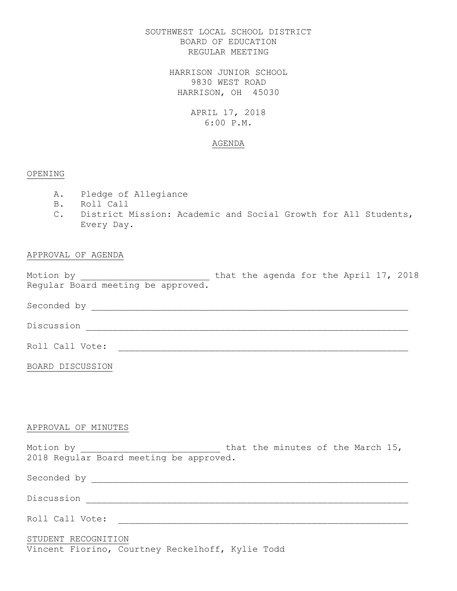SOUTHWEST LOCAL SCHOOL DISTRICT BOARD OF EDUCATION REGULAR MEETING

> HARRISON JUNIOR SCHOOL 9830 WEST ROAD HARRISON, OH 45030

> > APRIL 17, 2018 6:00 P.M.

### AGENDA

### OPENING

- A. Pledge of Allegiance
- B. Roll Call
- C. District Mission: Academic and Social Growth for All Students, Every Day.

## APPROVAL OF AGENDA

Motion by  $\hskip 1.6cm$  that the agenda for the April 17, 2018 Regular Board meeting be approved.

Seconded by \_\_\_\_\_\_\_\_\_\_\_\_\_\_\_\_\_\_\_\_\_\_\_\_\_\_\_\_\_\_\_\_\_\_\_\_\_\_\_\_\_\_\_\_\_\_\_\_\_\_\_\_\_\_\_\_\_\_\_

Discussion \_\_\_\_\_\_\_\_\_\_\_\_\_\_\_\_\_\_\_\_\_\_\_\_\_\_\_\_\_\_\_\_\_\_\_\_\_\_\_\_\_\_\_\_\_\_\_\_\_\_\_\_\_\_\_\_\_\_\_\_

Roll Call Vote: \_\_\_\_\_\_\_\_\_\_\_\_\_\_\_\_\_\_\_\_\_\_\_\_\_\_\_\_\_\_\_\_\_\_\_\_\_\_\_\_\_\_\_\_\_\_\_\_\_\_\_\_\_\_

BOARD DISCUSSION

## APPROVAL OF MINUTES

Motion by \_\_\_\_\_\_\_\_\_\_\_\_\_\_\_\_\_\_\_\_\_\_\_\_\_\_ that the minutes of the March 15, 2018 Regular Board meeting be approved.

Seconded by \_\_\_\_\_\_\_\_\_\_\_\_\_\_\_\_\_\_\_\_\_\_\_\_\_\_\_\_\_\_\_\_\_\_\_\_\_\_\_\_\_\_\_\_\_\_\_\_\_\_\_\_\_\_\_\_\_\_\_

Discussion \_\_\_\_\_\_\_\_\_\_\_\_\_\_\_\_\_\_\_\_\_\_\_\_\_\_\_\_\_\_\_\_\_\_\_\_\_\_\_\_\_\_\_\_\_\_\_\_\_\_\_\_\_\_\_\_\_\_\_\_

Roll Call Vote: \_\_\_\_\_\_\_\_\_\_\_\_\_\_\_\_\_\_\_\_\_\_\_\_\_\_\_\_\_\_\_\_\_\_\_\_\_\_\_\_\_\_\_\_\_\_\_\_\_\_\_\_\_\_

## STUDENT RECOGNITION

Vincent Fiorino, Courtney Reckelhoff, Kylie Todd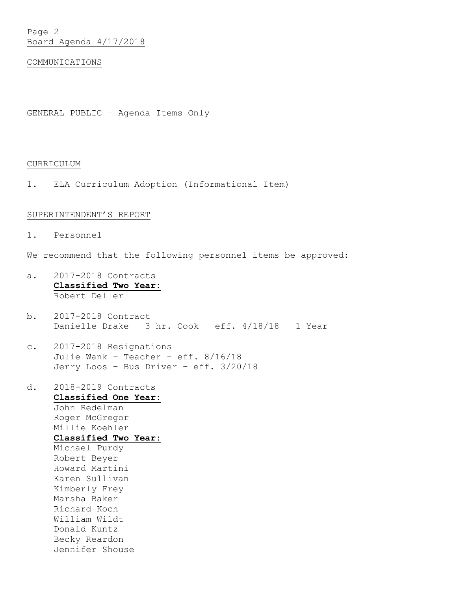### COMMUNICATIONS

## GENERAL PUBLIC – Agenda Items Only

## CURRICULUM

1. ELA Curriculum Adoption (Informational Item)

#### SUPERINTENDENT'S REPORT

- 1. Personnel
- We recommend that the following personnel items be approved:
- a. 2017-2018 Contracts **Classified Two Year:** Robert Deller
- b. 2017-2018 Contract Danielle Drake - 3 hr. Cook - eff.  $4/18/18$  - 1 Year
- c. 2017-2018 Resignations Julie Wank – Teacher – eff. 8/16/18 Jerry Loos – Bus Driver – eff. 3/20/18
- d. 2018-2019 Contracts **Classified One Year:** John Redelman Roger McGregor Millie Koehler **Classified Two Year:** Michael Purdy Robert Beyer Howard Martini Karen Sullivan Kimberly Frey Marsha Baker Richard Koch William Wildt Donald Kuntz Becky Reardon Jennifer Shouse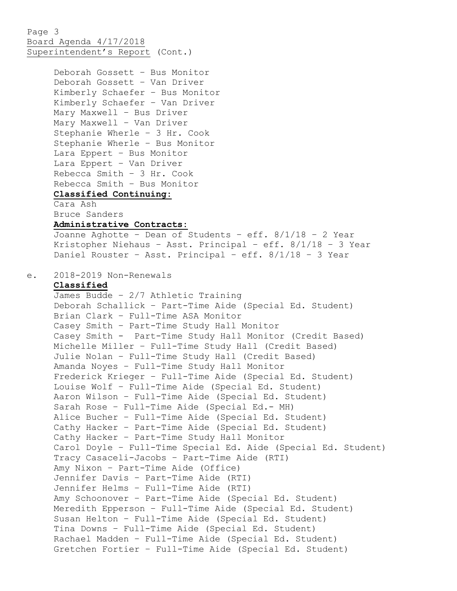Page 3 Board Agenda 4/17/2018 Superintendent's Report (Cont.)

Deborah Gossett – Bus Monitor

```
Deborah Gossett – Van Driver
     Kimberly Schaefer – Bus Monitor
     Kimberly Schaefer – Van Driver
    Mary Maxwell – Bus Driver
    Mary Maxwell – Van Driver
     Stephanie Wherle – 3 Hr. Cook
     Stephanie Wherle – Bus Monitor
     Lara Eppert – Bus Monitor
     Lara Eppert – Van Driver
     Rebecca Smith – 3 Hr. Cook
     Rebecca Smith – Bus Monitor
     Classified Continuing:
     Cara Ash
     Bruce Sanders
     Administrative Contracts:
     Joanne Aghotte – Dean of Students – eff. 8/1/18 – 2 Year
     Kristopher Niehaus – Asst. Principal – eff. 8/1/18 – 3 Year
     Daniel Rouster – Asst. Principal – eff. 8/1/18 – 3 Year
e. 2018-2019 Non-Renewals
    Classified
     James Budde – 2/7 Athletic Training
```
Deborah Schallick – Part-Time Aide (Special Ed. Student) Brian Clark – Full-Time ASA Monitor Casey Smith – Part-Time Study Hall Monitor Casey Smith - Part-Time Study Hall Monitor (Credit Based) Michelle Miller – Full-Time Study Hall (Credit Based) Julie Nolan – Full-Time Study Hall (Credit Based) Amanda Noyes – Full-Time Study Hall Monitor Frederick Krieger – Full-Time Aide (Special Ed. Student) Louise Wolf – Full-Time Aide (Special Ed. Student) Aaron Wilson – Full-Time Aide (Special Ed. Student) Sarah Rose – Full-Time Aide (Special Ed.- MH) Alice Bucher – Full-Time Aide (Special Ed. Student) Cathy Hacker – Part-Time Aide (Special Ed. Student) Cathy Hacker – Part-Time Study Hall Monitor Carol Doyle – Full-Time Special Ed. Aide (Special Ed. Student) Tracy Casaceli-Jacobs – Part-Time Aide (RTI) Amy Nixon – Part-Time Aide (Office) Jennifer Davis – Part-Time Aide (RTI) Jennifer Helms – Full-Time Aide (RTI) Amy Schoonover – Part-Time Aide (Special Ed. Student) Meredith Epperson – Full-Time Aide (Special Ed. Student) Susan Helton – Full-Time Aide (Special Ed. Student) Tina Downs – Full-Time Aide (Special Ed. Student) Rachael Madden – Full-Time Aide (Special Ed. Student) Gretchen Fortier – Full-Time Aide (Special Ed. Student)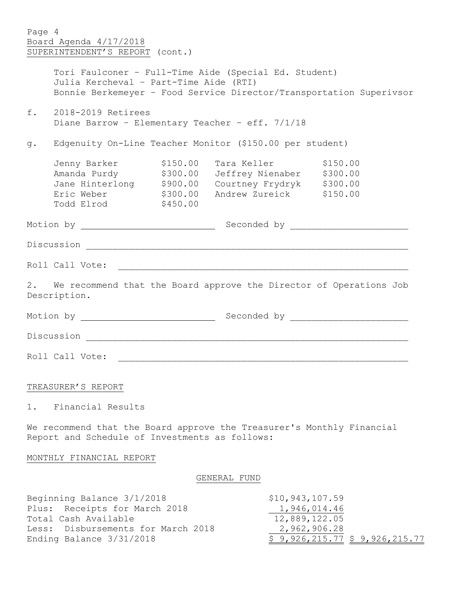| Page 4                                                              |                                                 |          |                                                                       |  |  |
|---------------------------------------------------------------------|-------------------------------------------------|----------|-----------------------------------------------------------------------|--|--|
|                                                                     | Board Agenda 4/17/2018                          |          |                                                                       |  |  |
|                                                                     | SUPERINTENDENT'S REPORT (cont.)                 |          |                                                                       |  |  |
|                                                                     |                                                 |          |                                                                       |  |  |
|                                                                     |                                                 |          | Tori Faulconer - Full-Time Aide (Special Ed. Student)                 |  |  |
|                                                                     | Julia Kercheval - Part-Time Aide (RTI)          |          |                                                                       |  |  |
| Bonnie Berkemeyer - Food Service Director/Transportation Superivsor |                                                 |          |                                                                       |  |  |
| f.<br>2018-2019 Retirees                                            |                                                 |          |                                                                       |  |  |
|                                                                     | Diane Barrow - Elementary Teacher - eff. 7/1/18 |          |                                                                       |  |  |
| Edgenuity On-Line Teacher Monitor (\$150.00 per student)<br>g.      |                                                 |          |                                                                       |  |  |
|                                                                     |                                                 |          | Jenny Barker (\$150.00 Tara Keller (\$150.00                          |  |  |
|                                                                     |                                                 |          | Amanda Purdy \$300.00 Jeffrey Nienaber \$300.00                       |  |  |
|                                                                     |                                                 |          | Jane Hinterlong \$900.00 Courtney Frydryk \$300.00                    |  |  |
|                                                                     |                                                 |          | Eric Weber \$300.00 Andrew Zureick \$150.00                           |  |  |
|                                                                     | Todd Elrod                                      | \$450.00 |                                                                       |  |  |
|                                                                     |                                                 |          |                                                                       |  |  |
|                                                                     |                                                 |          |                                                                       |  |  |
|                                                                     | Roll Call Vote:                                 |          |                                                                       |  |  |
|                                                                     |                                                 |          |                                                                       |  |  |
|                                                                     | Description.                                    |          | 2. We recommend that the Board approve the Director of Operations Job |  |  |
|                                                                     |                                                 |          |                                                                       |  |  |
|                                                                     |                                                 |          |                                                                       |  |  |
|                                                                     |                                                 |          |                                                                       |  |  |
|                                                                     |                                                 |          |                                                                       |  |  |
|                                                                     | TREASURER'S REPORT                              |          |                                                                       |  |  |

1. Financial Results

We recommend that the Board approve the Treasurer's Monthly Financial Report and Schedule of Investments as follows:

# MONTHLY FINANCIAL REPORT

# GENERAL FUND

| Beginning Balance 3/1/2018         | \$10, 943, 107.59             |
|------------------------------------|-------------------------------|
| Plus: Receipts for March 2018      | 1,946,014.46                  |
| Total Cash Available               | 12,889,122.05                 |
| Less: Disbursements for March 2018 | 2,962,906.28                  |
| Ending Balance 3/31/2018           | \$9,926,215.77 \$9,926,215.77 |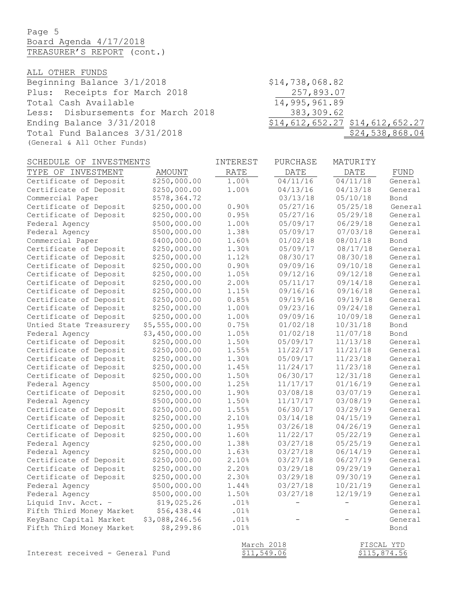Page 5 Board Agenda 4/17/2018 TREASURER'S REPORT (cont.)

ALL OTHER FUNDS

Beginning Balance 3/1/2018 \$14,738,068.82 Plus: Receipts for March 2018 257,893.07<br>Total Cash Available 14,995,961.89 Total Cash Available Less: Disbursements for March 2018 383,309.62 Ending Balance 3/31/2018 \$14,612,652.27 \$14,612,652.27 Total Fund Balances 3/31/2018 \$24,538,868.04 (General & All Other Funds)

| SCHEDULE OF INVESTMENTS  |                | INTEREST    | PURCHASE          | MATURITY          |            |
|--------------------------|----------------|-------------|-------------------|-------------------|------------|
| TYPE OF INVESTMENT       | AMOUNT         | <b>RATE</b> | DATE              | DATE              | FUND       |
| Certificate of Deposit   | \$250,000.00   | 1.00%       | 04/11/16          | 04/11/18          | General    |
| Certificate of Deposit   | \$250,000.00   | 1.00%       | 04/13/16          | 04/13/18          | General    |
| Commercial Paper         | \$578,364.72   |             | 03/13/18          | 05/10/18          | Bond       |
| Certificate of Deposit   | \$250,000.00   | 0.90%       | 05/27/16          | 05/25/18          | General    |
| Certificate of Deposit   | \$250,000.00   | 0.95%       | 05/27/16          | 05/29/18          | General    |
| Federal Agency           | \$500,000.00   | 1.00%       | 05/09/17          | 06/29/18          | General    |
| Federal Agency           | \$500,000.00   | 1.38%       | 05/09/17          | 07/03/18          | General    |
| Commercial Paper         | \$400,000.00   | 1.60%       | 01/02/18          | 08/01/18          | Bond       |
| Certificate of Deposit   | \$250,000.00   | 1.30%       | 05/09/17          | 08/17/18          | General    |
| Certificate of Deposit   | \$250,000.00   | 1.12%       | 08/30/17          | 08/30/18          | General    |
| Certificate of Deposit   | \$250,000.00   | 0.90%       | 09/09/16          | 09/10/18          | General    |
| Certificate of Deposit   | \$250,000.00   | 1.05%       | 09/12/16          | 09/12/18          | General    |
| Certificate of Deposit   | \$250,000.00   | 2.00%       | 05/11/17          | 09/14/18          | General    |
| Certificate of Deposit   | \$250,000.00   | 1.15%       | 09/16/16          | 09/16/18          | General    |
| Certificate of Deposit   | \$250,000.00   | 0.85%       | 09/19/16          | 09/19/18          | General    |
| Certificate of Deposit   | \$250,000.00   | 1.00%       | 09/23/16          | 09/24/18          | General    |
| Certificate of Deposit   | \$250,000.00   | 1.00%       | 09/09/16          | 10/09/18          | General    |
| Untied State Treasurery  | \$5,555,000.00 | 0.75%       | 01/02/18          | 10/31/18          | Bond       |
| Federal Agency           | \$3,450,000.00 | 1.05%       | 01/02/18          | 11/07/18          | Bond       |
| Certificate of Deposit   | \$250,000.00   | 1.50%       | 05/09/17          | 11/13/18          | General    |
| Certificate of Deposit   | \$250,000.00   | 1.55%       | 11/22/17          | 11/21/18          | General    |
| Certificate of Deposit   | \$250,000.00   | 1.30%       | 05/09/17          | 11/23/18          | General    |
| Certificate of Deposit   | \$250,000.00   | 1.45%       | 11/24/17          | 11/23/18          | General    |
| Certificate of Deposit   | \$250,000.00   | 1.50%       | 06/30/17          | 12/31/18          | General    |
| Federal Agency           | \$500,000.00   | 1.25%       | 11/17/17          | 01/16/19          | General    |
| Certificate of Deposit   | \$250,000.00   | 1.90%       | 03/08/18          | 03/07/19          | General    |
| Federal Agency           | \$500,000.00   | 1.50%       | 11/17/17          | 03/08/19          | General    |
| Certificate of Deposit   | \$250,000.00   | 1.55%       | 06/30/17          | 03/29/19          | General    |
| Certificate of Deposit   | \$250,000.00   | 2.10%       | 03/14/18          | 04/15/19          | General    |
| Certificate of Deposit   | \$250,000.00   | 1.95%       | 03/26/18          | 04/26/19          | General    |
| Certificate of Deposit   | \$250,000.00   | 1.60%       | 11/22/17          | 05/22/19          | General    |
| Federal Agency           | \$250,000.00   | 1.38%       | 03/27/18          | 05/25/19          | General    |
| Federal Agency           | \$250,000.00   | 1.63%       | 03/27/18          | 06/14/19          | General    |
| Certificate of Deposit   | \$250,000.00   | 2.10%       | 03/27/18          | 06/27/19          | General    |
| Certificate of Deposit   | \$250,000.00   | 2.20%       | 03/29/18          | 09/29/19          | General    |
| Certificate of Deposit   | \$250,000.00   | 2.30%       | 03/29/18          | 09/30/19          | General    |
| Federal Agency           | \$500,000.00   | 1.44%       | 03/27/18          | 10/21/19          | General    |
| Federal Agency           | \$500,000.00   | 1.50%       | 03/27/18          | 12/19/19          | General    |
| Liquid Inv. Acct. -      | \$19,025.26    | .01%        | $\qquad \qquad -$ | $\qquad \qquad -$ | General    |
| Fifth Third Money Market | \$56,438.44    | .01%        |                   |                   | General    |
| KeyBanc Capital Market   | \$3,088,246.56 | .01%        |                   |                   | General    |
| Fifth Third Money Market | \$8,299.86     | .01%        |                   |                   | Bond       |
|                          |                | March 2018  |                   |                   | FISCAL YTD |

Interest received - General Fund  $$11,549.06$   $$115,874.56$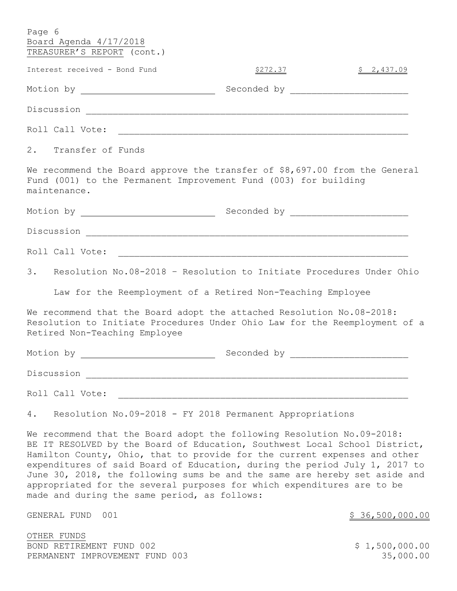| Page 6                                                                                                                                                                                                                                                                                                          |                                                             |            |
|-----------------------------------------------------------------------------------------------------------------------------------------------------------------------------------------------------------------------------------------------------------------------------------------------------------------|-------------------------------------------------------------|------------|
| Board Agenda 4/17/2018<br>TREASURER'S REPORT (cont.)                                                                                                                                                                                                                                                            |                                                             |            |
|                                                                                                                                                                                                                                                                                                                 |                                                             |            |
| Interest received - Bond Fund                                                                                                                                                                                                                                                                                   | <u>\$272.37</u>                                             | \$2,437.09 |
|                                                                                                                                                                                                                                                                                                                 |                                                             |            |
|                                                                                                                                                                                                                                                                                                                 |                                                             |            |
|                                                                                                                                                                                                                                                                                                                 |                                                             |            |
| 2. Transfer of Funds                                                                                                                                                                                                                                                                                            |                                                             |            |
| We recommend the Board approve the transfer of \$8,697.00 from the General<br>Fund (001) to the Permanent Improvement Fund (003) for building<br>maintenance.                                                                                                                                                   |                                                             |            |
|                                                                                                                                                                                                                                                                                                                 |                                                             |            |
|                                                                                                                                                                                                                                                                                                                 |                                                             |            |
|                                                                                                                                                                                                                                                                                                                 |                                                             |            |
| 3. Resolution No.08-2018 - Resolution to Initiate Procedures Under Ohio                                                                                                                                                                                                                                         |                                                             |            |
|                                                                                                                                                                                                                                                                                                                 | Law for the Reemployment of a Retired Non-Teaching Employee |            |
| We recommend that the Board adopt the attached Resolution No.08-2018:<br>Resolution to Initiate Procedures Under Ohio Law for the Reemployment of a<br>Retired Non-Teaching Employee                                                                                                                            |                                                             |            |
|                                                                                                                                                                                                                                                                                                                 |                                                             |            |
| Discussion <u>_________________________________</u>                                                                                                                                                                                                                                                             |                                                             |            |
| Roll Call Vote:                                                                                                                                                                                                                                                                                                 |                                                             |            |
| Resolution No.09-2018 - FY 2018 Permanent Appropriations<br>4.                                                                                                                                                                                                                                                  |                                                             |            |
| We recommend that the Board adopt the following Resolution No.09-2018:<br>BE IT RESOLVED by the Board of Education, Southwest Local School District,<br>Hamilton County, Ohio, that to provide for the current expenses and other<br>expenditures of said Board of Education, during the period July 1, 2017 to |                                                             |            |

expenditures of said Board of Education, during the period July 1, 2017 to June 30, 2018, the following sums be and the same are hereby set aside and appropriated for the several purposes for which expenditures are to be made and during the same period, as follows:

GENERAL FUND 001 36,500,000.00

OTHER FUNDS BOND RETIREMENT FUND 002 3 1,500,000.00 PERMANENT IMPROVEMENT FUND 003 35,000.00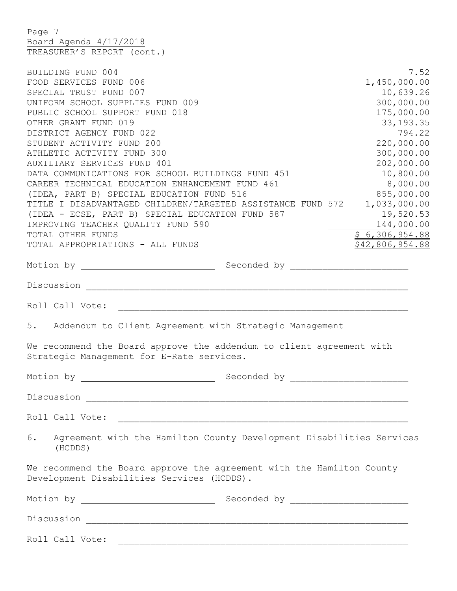Page 7 Board Agenda 4/17/2018 TREASURER'S REPORT (cont.)

| BUILDING FUND 004<br>FOOD SERVICES FUND 006<br>SPECIAL TRUST FUND 007<br>UNIFORM SCHOOL SUPPLIES FUND 009<br>PUBLIC SCHOOL SUPPORT FUND 018<br>OTHER GRANT FUND 019<br>DISTRICT AGENCY FUND 022<br>STUDENT ACTIVITY FUND 200         | 7.52<br>1,450,000.00<br>10,639.26<br>300,000.00<br>175,000.00<br>33, 193. 35<br>794.22<br>220,000.00 |
|--------------------------------------------------------------------------------------------------------------------------------------------------------------------------------------------------------------------------------------|------------------------------------------------------------------------------------------------------|
| ATHLETIC ACTIVITY FUND 300<br>AUXILIARY SERVICES FUND 401<br>DATA COMMUNICATIONS FOR SCHOOL BUILDINGS FUND 451<br>CAREER TECHNICAL EDUCATION ENHANCEMENT FUND 461                                                                    | 300,000.00<br>202,000.00<br>10,800.00<br>8,000.00                                                    |
| (IDEA, PART B) SPECIAL EDUCATION FUND 516<br>TITLE I DISADVANTAGED CHILDREN/TARGETED ASSISTANCE FUND 572<br>(IDEA - ECSE, PART B) SPECIAL EDUCATION FUND 587<br>IMPROVING TEACHER QUALITY FUND 590                                   | 855,000.00<br>1,033,000.00<br>19,520.53<br>144,000.00                                                |
| TOTAL OTHER FUNDS<br>TOTAL APPROPRIATIONS - ALL FUNDS                                                                                                                                                                                | \$6,306,954.88<br>\$42,806,954.88                                                                    |
|                                                                                                                                                                                                                                      |                                                                                                      |
|                                                                                                                                                                                                                                      |                                                                                                      |
|                                                                                                                                                                                                                                      |                                                                                                      |
| Addendum to Client Agreement with Strategic Management<br>5.                                                                                                                                                                         |                                                                                                      |
| We recommend the Board approve the addendum to client agreement with<br>Strategic Management for E-Rate services.                                                                                                                    |                                                                                                      |
| Motion by <u>entitled and the set of the set of the set of the set of the set of the set of the set of the set of the set of the set of the set of the set of the set of the set of the set of the set of the set of the set of </u> |                                                                                                      |
| Discussion                                                                                                                                                                                                                           |                                                                                                      |
|                                                                                                                                                                                                                                      |                                                                                                      |
| Agreement with the Hamilton County Development Disabilities Services<br>6.<br>(HCDDS)                                                                                                                                                |                                                                                                      |
| We recommend the Board approve the agreement with the Hamilton County<br>Development Disabilities Services (HCDDS).                                                                                                                  |                                                                                                      |
|                                                                                                                                                                                                                                      |                                                                                                      |
|                                                                                                                                                                                                                                      |                                                                                                      |
| Roll Call Vote: the contract of the contract of the contract of the contract of the contract of the contract of the contract of the contract of the contract of the contract of the contract of the contract of the contract o       |                                                                                                      |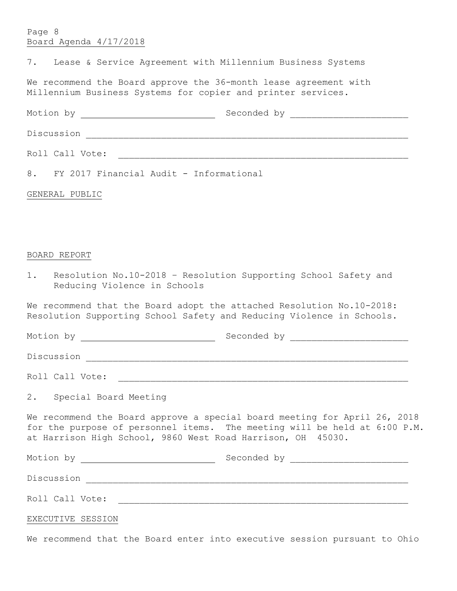## Page 8 Board Agenda 4/17/2018

|  |  |  |  |  |  | Lease & Service Agreement with Millennium Business Systems |  |  |
|--|--|--|--|--|--|------------------------------------------------------------|--|--|
|--|--|--|--|--|--|------------------------------------------------------------|--|--|

We recommend the Board approve the 36-month lease agreement with Millennium Business Systems for copier and printer services.

Motion by Seconded by \_\_\_\_\_\_\_\_\_\_\_\_\_\_\_\_\_\_\_\_\_\_

Discussion \_\_\_\_\_\_\_\_\_\_\_\_\_\_\_\_\_\_\_\_\_\_\_\_\_\_\_\_\_\_\_\_\_\_\_\_\_\_\_\_\_\_\_\_\_\_\_\_\_\_\_\_\_\_\_\_\_\_\_\_

Roll Call Vote: \_\_\_\_\_\_\_\_\_\_\_\_\_\_\_\_\_\_\_\_\_\_\_\_\_\_\_\_\_\_\_\_\_\_\_\_\_\_\_\_\_\_\_\_\_\_\_\_\_\_\_\_\_\_

8. FY 2017 Financial Audit - Informational

## GENERAL PUBLIC

## BOARD REPORT

1. Resolution No.10-2018 – Resolution Supporting School Safety and Reducing Violence in Schools

We recommend that the Board adopt the attached Resolution No.10-2018: Resolution Supporting School Safety and Reducing Violence in Schools.

Motion by Geconded by Seconded by

Discussion \_\_\_\_\_\_\_\_\_\_\_\_\_\_\_\_\_\_\_\_\_\_\_\_\_\_\_\_\_\_\_\_\_\_\_\_\_\_\_\_\_\_\_\_\_\_\_\_\_\_\_\_\_\_\_\_\_\_\_\_

Roll Call Vote: \_\_\_\_\_\_\_\_\_\_\_\_\_\_\_\_\_\_\_\_\_\_\_\_\_\_\_\_\_\_\_\_\_\_\_\_\_\_\_\_\_\_\_\_\_\_\_\_\_\_\_\_\_\_

2. Special Board Meeting

We recommend the Board approve a special board meeting for April 26, 2018 for the purpose of personnel items. The meeting will be held at 6:00 P.M. at Harrison High School, 9860 West Road Harrison, OH 45030.

Motion by Seconded by \_\_\_\_\_\_\_\_\_\_\_\_\_\_\_\_\_\_\_\_\_\_ Discussion \_\_\_\_\_\_\_\_\_\_\_\_\_\_\_\_\_\_\_\_\_\_\_\_\_\_\_\_\_\_\_\_\_\_\_\_\_\_\_\_\_\_\_\_\_\_\_\_\_\_\_\_\_\_\_\_\_\_\_\_ Roll Call Vote: \_\_\_\_\_\_\_\_\_\_\_\_\_\_\_\_\_\_\_\_\_\_\_\_\_\_\_\_\_\_\_\_\_\_\_\_\_\_\_\_\_\_\_\_\_\_\_\_\_\_\_\_\_\_

## EXECUTIVE SESSION

We recommend that the Board enter into executive session pursuant to Ohio